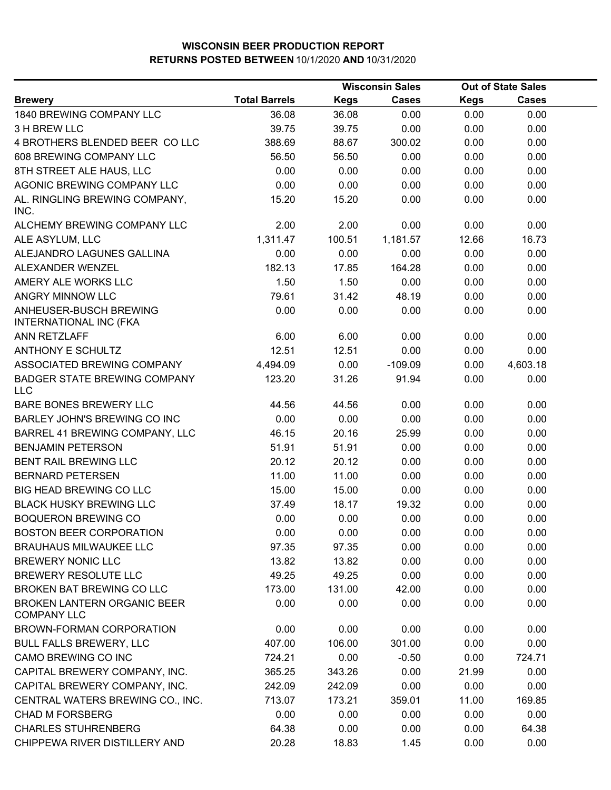|                                                                |                      |             | <b>Wisconsin Sales</b> |             | <b>Out of State Sales</b> |  |
|----------------------------------------------------------------|----------------------|-------------|------------------------|-------------|---------------------------|--|
| <b>Brewery</b>                                                 | <b>Total Barrels</b> | <b>Kegs</b> | <b>Cases</b>           | <b>Kegs</b> | <b>Cases</b>              |  |
| 1840 BREWING COMPANY LLC                                       | 36.08                | 36.08       | 0.00                   | 0.00        | 0.00                      |  |
| 3 H BREW LLC                                                   | 39.75                | 39.75       | 0.00                   | 0.00        | 0.00                      |  |
| 4 BROTHERS BLENDED BEER COLLC                                  | 388.69               | 88.67       | 300.02                 | 0.00        | 0.00                      |  |
| 608 BREWING COMPANY LLC                                        | 56.50                | 56.50       | 0.00                   | 0.00        | 0.00                      |  |
| 8TH STREET ALE HAUS, LLC                                       | 0.00                 | 0.00        | 0.00                   | 0.00        | 0.00                      |  |
| AGONIC BREWING COMPANY LLC                                     | 0.00                 | 0.00        | 0.00                   | 0.00        | 0.00                      |  |
| AL. RINGLING BREWING COMPANY,<br>INC.                          | 15.20                | 15.20       | 0.00                   | 0.00        | 0.00                      |  |
| ALCHEMY BREWING COMPANY LLC                                    | 2.00                 | 2.00        | 0.00                   | 0.00        | 0.00                      |  |
| ALE ASYLUM, LLC                                                | 1,311.47             | 100.51      | 1,181.57               | 12.66       | 16.73                     |  |
| ALEJANDRO LAGUNES GALLINA                                      | 0.00                 | 0.00        | 0.00                   | 0.00        | 0.00                      |  |
| ALEXANDER WENZEL                                               | 182.13               | 17.85       | 164.28                 | 0.00        | 0.00                      |  |
| AMERY ALE WORKS LLC                                            | 1.50                 | 1.50        | 0.00                   | 0.00        | 0.00                      |  |
| <b>ANGRY MINNOW LLC</b>                                        | 79.61                | 31.42       | 48.19                  | 0.00        | 0.00                      |  |
| <b>ANHEUSER-BUSCH BREWING</b><br><b>INTERNATIONAL INC (FKA</b> | 0.00                 | 0.00        | 0.00                   | 0.00        | 0.00                      |  |
| ANN RETZLAFF                                                   | 6.00                 | 6.00        | 0.00                   | 0.00        | 0.00                      |  |
| <b>ANTHONY E SCHULTZ</b>                                       | 12.51                | 12.51       | 0.00                   | 0.00        | 0.00                      |  |
| ASSOCIATED BREWING COMPANY                                     | 4,494.09             | 0.00        | $-109.09$              | 0.00        | 4,603.18                  |  |
| <b>BADGER STATE BREWING COMPANY</b><br><b>LLC</b>              | 123.20               | 31.26       | 91.94                  | 0.00        | 0.00                      |  |
| <b>BARE BONES BREWERY LLC</b>                                  | 44.56                | 44.56       | 0.00                   | 0.00        | 0.00                      |  |
| <b>BARLEY JOHN'S BREWING CO INC</b>                            | 0.00                 | 0.00        | 0.00                   | 0.00        | 0.00                      |  |
| BARREL 41 BREWING COMPANY, LLC                                 | 46.15                | 20.16       | 25.99                  | 0.00        | 0.00                      |  |
| <b>BENJAMIN PETERSON</b>                                       | 51.91                | 51.91       | 0.00                   | 0.00        | 0.00                      |  |
| BENT RAIL BREWING LLC                                          | 20.12                | 20.12       | 0.00                   | 0.00        | 0.00                      |  |
| <b>BERNARD PETERSEN</b>                                        | 11.00                | 11.00       | 0.00                   | 0.00        | 0.00                      |  |
| <b>BIG HEAD BREWING CO LLC</b>                                 | 15.00                | 15.00       | 0.00                   | 0.00        | 0.00                      |  |
| <b>BLACK HUSKY BREWING LLC</b>                                 | 37.49                | 18.17       | 19.32                  | 0.00        | 0.00                      |  |
| <b>BOQUERON BREWING CO</b>                                     | 0.00                 | 0.00        | 0.00                   | 0.00        | 0.00                      |  |
| BOSTON BEER CORPORATION                                        | 0.00                 | 0.00        | 0.00                   | 0.00        | 0.00                      |  |
| <b>BRAUHAUS MILWAUKEE LLC</b>                                  | 97.35                | 97.35       | 0.00                   | 0.00        | 0.00                      |  |
| <b>BREWERY NONIC LLC</b>                                       | 13.82                | 13.82       | 0.00                   | 0.00        | 0.00                      |  |
| BREWERY RESOLUTE LLC                                           | 49.25                | 49.25       | 0.00                   | 0.00        | 0.00                      |  |
| BROKEN BAT BREWING CO LLC                                      | 173.00               | 131.00      | 42.00                  | 0.00        | 0.00                      |  |
| BROKEN LANTERN ORGANIC BEER<br><b>COMPANY LLC</b>              | 0.00                 | 0.00        | 0.00                   | 0.00        | 0.00                      |  |
| BROWN-FORMAN CORPORATION                                       | 0.00                 | 0.00        | 0.00                   | 0.00        | 0.00                      |  |
| <b>BULL FALLS BREWERY, LLC</b>                                 | 407.00               | 106.00      | 301.00                 | 0.00        | 0.00                      |  |
| CAMO BREWING CO INC                                            | 724.21               | 0.00        | $-0.50$                | 0.00        | 724.71                    |  |
| CAPITAL BREWERY COMPANY, INC.                                  | 365.25               | 343.26      | 0.00                   | 21.99       | 0.00                      |  |
| CAPITAL BREWERY COMPANY, INC.                                  | 242.09               | 242.09      | 0.00                   | 0.00        | 0.00                      |  |
| CENTRAL WATERS BREWING CO., INC.                               | 713.07               | 173.21      | 359.01                 | 11.00       | 169.85                    |  |
| <b>CHAD M FORSBERG</b>                                         | 0.00                 | 0.00        | 0.00                   | 0.00        | 0.00                      |  |
| <b>CHARLES STUHRENBERG</b>                                     | 64.38                | 0.00        | 0.00                   | 0.00        | 64.38                     |  |
| CHIPPEWA RIVER DISTILLERY AND                                  | 20.28                | 18.83       | 1.45                   | 0.00        | 0.00                      |  |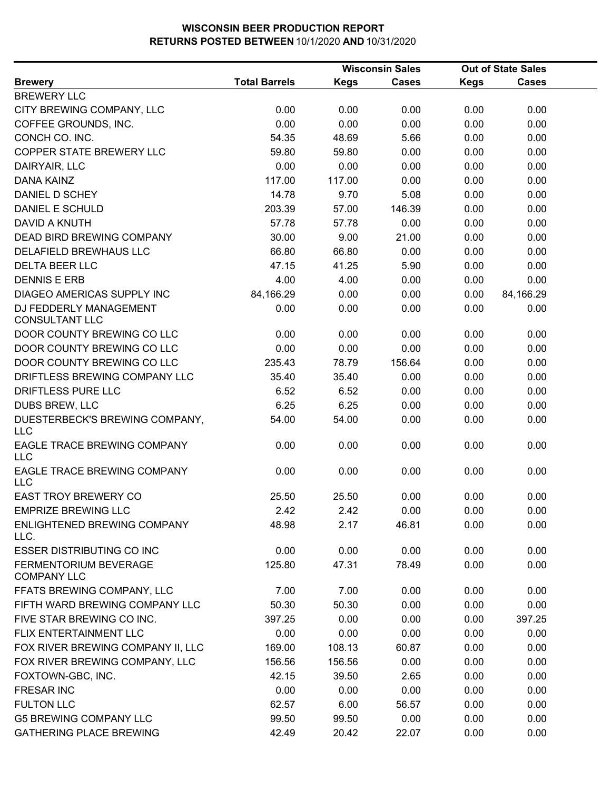|                                                 |                      |             | <b>Wisconsin Sales</b> |             | <b>Out of State Sales</b> |
|-------------------------------------------------|----------------------|-------------|------------------------|-------------|---------------------------|
| <b>Brewery</b>                                  | <b>Total Barrels</b> | <b>Kegs</b> | <b>Cases</b>           | <b>Kegs</b> | <b>Cases</b>              |
| <b>BREWERY LLC</b>                              |                      |             |                        |             |                           |
| CITY BREWING COMPANY, LLC                       | 0.00                 | 0.00        | 0.00                   | 0.00        | 0.00                      |
| COFFEE GROUNDS, INC.                            | 0.00                 | 0.00        | 0.00                   | 0.00        | 0.00                      |
| CONCH CO. INC.                                  | 54.35                | 48.69       | 5.66                   | 0.00        | 0.00                      |
| COPPER STATE BREWERY LLC                        | 59.80                | 59.80       | 0.00                   | 0.00        | 0.00                      |
| DAIRYAIR, LLC                                   | 0.00                 | 0.00        | 0.00                   | 0.00        | 0.00                      |
| <b>DANA KAINZ</b>                               | 117.00               | 117.00      | 0.00                   | 0.00        | 0.00                      |
| DANIEL D SCHEY                                  | 14.78                | 9.70        | 5.08                   | 0.00        | 0.00                      |
| DANIEL E SCHULD                                 | 203.39               | 57.00       | 146.39                 | 0.00        | 0.00                      |
| <b>DAVID A KNUTH</b>                            | 57.78                | 57.78       | 0.00                   | 0.00        | 0.00                      |
| DEAD BIRD BREWING COMPANY                       | 30.00                | 9.00        | 21.00                  | 0.00        | 0.00                      |
| DELAFIELD BREWHAUS LLC                          | 66.80                | 66.80       | 0.00                   | 0.00        | 0.00                      |
| <b>DELTA BEER LLC</b>                           | 47.15                | 41.25       | 5.90                   | 0.00        | 0.00                      |
| <b>DENNIS E ERB</b>                             | 4.00                 | 4.00        | 0.00                   | 0.00        | 0.00                      |
| DIAGEO AMERICAS SUPPLY INC                      | 84,166.29            | 0.00        | 0.00                   | 0.00        | 84,166.29                 |
| DJ FEDDERLY MANAGEMENT<br><b>CONSULTANT LLC</b> | 0.00                 | 0.00        | 0.00                   | 0.00        | 0.00                      |
| DOOR COUNTY BREWING CO LLC                      | 0.00                 | 0.00        | 0.00                   | 0.00        | 0.00                      |
| DOOR COUNTY BREWING CO LLC                      | 0.00                 | 0.00        | 0.00                   | 0.00        | 0.00                      |
| DOOR COUNTY BREWING CO LLC                      | 235.43               | 78.79       | 156.64                 | 0.00        | 0.00                      |
| DRIFTLESS BREWING COMPANY LLC                   | 35.40                | 35.40       | 0.00                   | 0.00        | 0.00                      |
| DRIFTLESS PURE LLC                              | 6.52                 | 6.52        | 0.00                   | 0.00        | 0.00                      |
| <b>DUBS BREW, LLC</b>                           | 6.25                 | 6.25        | 0.00                   | 0.00        | 0.00                      |
| DUESTERBECK'S BREWING COMPANY,<br><b>LLC</b>    | 54.00                | 54.00       | 0.00                   | 0.00        | 0.00                      |
| EAGLE TRACE BREWING COMPANY<br><b>LLC</b>       | 0.00                 | 0.00        | 0.00                   | 0.00        | 0.00                      |
| EAGLE TRACE BREWING COMPANY<br><b>LLC</b>       | 0.00                 | 0.00        | 0.00                   | 0.00        | 0.00                      |
| EAST TROY BREWERY CO                            | 25.50                | 25.50       | 0.00                   | 0.00        | 0.00                      |
| <b>EMPRIZE BREWING LLC</b>                      | 2.42                 | 2.42        | 0.00                   | 0.00        | 0.00                      |
| ENLIGHTENED BREWING COMPANY<br>LLC.             | 48.98                | 2.17        | 46.81                  | 0.00        | 0.00                      |
| <b>ESSER DISTRIBUTING CO INC</b>                | 0.00                 | 0.00        | 0.00                   | 0.00        | 0.00                      |
| FERMENTORIUM BEVERAGE<br><b>COMPANY LLC</b>     | 125.80               | 47.31       | 78.49                  | 0.00        | 0.00                      |
| FFATS BREWING COMPANY, LLC                      | 7.00                 | 7.00        | 0.00                   | 0.00        | 0.00                      |
| FIFTH WARD BREWING COMPANY LLC                  | 50.30                | 50.30       | 0.00                   | 0.00        | 0.00                      |
| FIVE STAR BREWING CO INC.                       | 397.25               | 0.00        | 0.00                   | 0.00        | 397.25                    |
| FLIX ENTERTAINMENT LLC                          | 0.00                 | 0.00        | 0.00                   | 0.00        | 0.00                      |
| FOX RIVER BREWING COMPANY II, LLC               | 169.00               | 108.13      | 60.87                  | 0.00        | 0.00                      |
| FOX RIVER BREWING COMPANY, LLC                  | 156.56               | 156.56      | 0.00                   | 0.00        | 0.00                      |
| FOXTOWN-GBC, INC.                               | 42.15                | 39.50       | 2.65                   | 0.00        | 0.00                      |
| <b>FRESAR INC</b>                               | 0.00                 | 0.00        | 0.00                   | 0.00        | 0.00                      |
| <b>FULTON LLC</b>                               | 62.57                | 6.00        | 56.57                  | 0.00        | 0.00                      |
| <b>G5 BREWING COMPANY LLC</b>                   | 99.50                | 99.50       | 0.00                   | 0.00        | 0.00                      |
| <b>GATHERING PLACE BREWING</b>                  | 42.49                | 20.42       | 22.07                  | 0.00        | 0.00                      |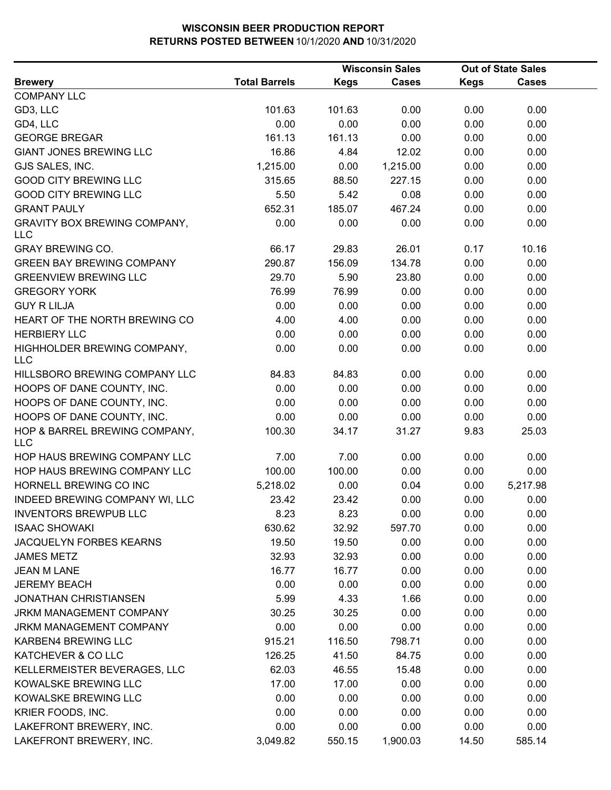|                                                   |                      |             | <b>Wisconsin Sales</b> |             | <b>Out of State Sales</b> |  |
|---------------------------------------------------|----------------------|-------------|------------------------|-------------|---------------------------|--|
| <b>Brewery</b>                                    | <b>Total Barrels</b> | <b>Kegs</b> | <b>Cases</b>           | <b>Kegs</b> | <b>Cases</b>              |  |
| <b>COMPANY LLC</b>                                |                      |             |                        |             |                           |  |
| GD3, LLC                                          | 101.63               | 101.63      | 0.00                   | 0.00        | 0.00                      |  |
| GD4, LLC                                          | 0.00                 | 0.00        | 0.00                   | 0.00        | 0.00                      |  |
| <b>GEORGE BREGAR</b>                              | 161.13               | 161.13      | 0.00                   | 0.00        | 0.00                      |  |
| <b>GIANT JONES BREWING LLC</b>                    | 16.86                | 4.84        | 12.02                  | 0.00        | 0.00                      |  |
| GJS SALES, INC.                                   | 1,215.00             | 0.00        | 1,215.00               | 0.00        | 0.00                      |  |
| <b>GOOD CITY BREWING LLC</b>                      | 315.65               | 88.50       | 227.15                 | 0.00        | 0.00                      |  |
| <b>GOOD CITY BREWING LLC</b>                      | 5.50                 | 5.42        | 0.08                   | 0.00        | 0.00                      |  |
| <b>GRANT PAULY</b>                                | 652.31               | 185.07      | 467.24                 | 0.00        | 0.00                      |  |
| <b>GRAVITY BOX BREWING COMPANY,</b><br><b>LLC</b> | 0.00                 | 0.00        | 0.00                   | 0.00        | 0.00                      |  |
| <b>GRAY BREWING CO.</b>                           | 66.17                | 29.83       | 26.01                  | 0.17        | 10.16                     |  |
| <b>GREEN BAY BREWING COMPANY</b>                  | 290.87               | 156.09      | 134.78                 | 0.00        | 0.00                      |  |
| <b>GREENVIEW BREWING LLC</b>                      | 29.70                | 5.90        | 23.80                  | 0.00        | 0.00                      |  |
| <b>GREGORY YORK</b>                               | 76.99                | 76.99       | 0.00                   | 0.00        | 0.00                      |  |
| <b>GUY R LILJA</b>                                | 0.00                 | 0.00        | 0.00                   | 0.00        | 0.00                      |  |
| HEART OF THE NORTH BREWING CO                     | 4.00                 | 4.00        | 0.00                   | 0.00        | 0.00                      |  |
| <b>HERBIERY LLC</b>                               | 0.00                 | 0.00        | 0.00                   | 0.00        | 0.00                      |  |
| HIGHHOLDER BREWING COMPANY,<br><b>LLC</b>         | 0.00                 | 0.00        | 0.00                   | 0.00        | 0.00                      |  |
| HILLSBORO BREWING COMPANY LLC                     | 84.83                | 84.83       | 0.00                   | 0.00        | 0.00                      |  |
| HOOPS OF DANE COUNTY, INC.                        | 0.00                 | 0.00        | 0.00                   | 0.00        | 0.00                      |  |
| HOOPS OF DANE COUNTY, INC.                        | 0.00                 | 0.00        | 0.00                   | 0.00        | 0.00                      |  |
| HOOPS OF DANE COUNTY, INC.                        | 0.00                 | 0.00        | 0.00                   | 0.00        | 0.00                      |  |
| HOP & BARREL BREWING COMPANY,<br><b>LLC</b>       | 100.30               | 34.17       | 31.27                  | 9.83        | 25.03                     |  |
| HOP HAUS BREWING COMPANY LLC                      | 7.00                 | 7.00        | 0.00                   | 0.00        | 0.00                      |  |
| HOP HAUS BREWING COMPANY LLC                      | 100.00               | 100.00      | 0.00                   | 0.00        | 0.00                      |  |
| HORNELL BREWING CO INC                            | 5,218.02             | 0.00        | 0.04                   | 0.00        | 5,217.98                  |  |
| INDEED BREWING COMPANY WI, LLC                    | 23.42                | 23.42       | 0.00                   | 0.00        | 0.00                      |  |
| <b>INVENTORS BREWPUB LLC</b>                      | 8.23                 | 8.23        | 0.00                   | 0.00        | 0.00                      |  |
| <b>ISAAC SHOWAKI</b>                              | 630.62               | 32.92       | 597.70                 | 0.00        | 0.00                      |  |
| <b>JACQUELYN FORBES KEARNS</b>                    | 19.50                | 19.50       | 0.00                   | 0.00        | 0.00                      |  |
| <b>JAMES METZ</b>                                 | 32.93                | 32.93       | 0.00                   | 0.00        | 0.00                      |  |
| <b>JEAN M LANE</b>                                | 16.77                | 16.77       | 0.00                   | 0.00        | 0.00                      |  |
| <b>JEREMY BEACH</b>                               | 0.00                 | 0.00        | 0.00                   | 0.00        | 0.00                      |  |
| <b>JONATHAN CHRISTIANSEN</b>                      | 5.99                 | 4.33        | 1.66                   | 0.00        | 0.00                      |  |
| <b>JRKM MANAGEMENT COMPANY</b>                    | 30.25                | 30.25       | 0.00                   | 0.00        | 0.00                      |  |
| JRKM MANAGEMENT COMPANY                           | 0.00                 | 0.00        | 0.00                   | 0.00        | 0.00                      |  |
| KARBEN4 BREWING LLC                               | 915.21               | 116.50      | 798.71                 | 0.00        | 0.00                      |  |
| KATCHEVER & CO LLC                                | 126.25               | 41.50       | 84.75                  | 0.00        | 0.00                      |  |
| KELLERMEISTER BEVERAGES, LLC                      | 62.03                | 46.55       | 15.48                  | 0.00        | 0.00                      |  |
| KOWALSKE BREWING LLC                              | 17.00                | 17.00       | 0.00                   | 0.00        | 0.00                      |  |
| KOWALSKE BREWING LLC                              | 0.00                 | 0.00        | 0.00                   | 0.00        | 0.00                      |  |
| KRIER FOODS, INC.                                 | 0.00                 | 0.00        | 0.00                   | 0.00        | 0.00                      |  |
| LAKEFRONT BREWERY, INC.                           | 0.00                 | 0.00        | 0.00                   | 0.00        | 0.00                      |  |
| LAKEFRONT BREWERY, INC.                           | 3,049.82             | 550.15      | 1,900.03               | 14.50       | 585.14                    |  |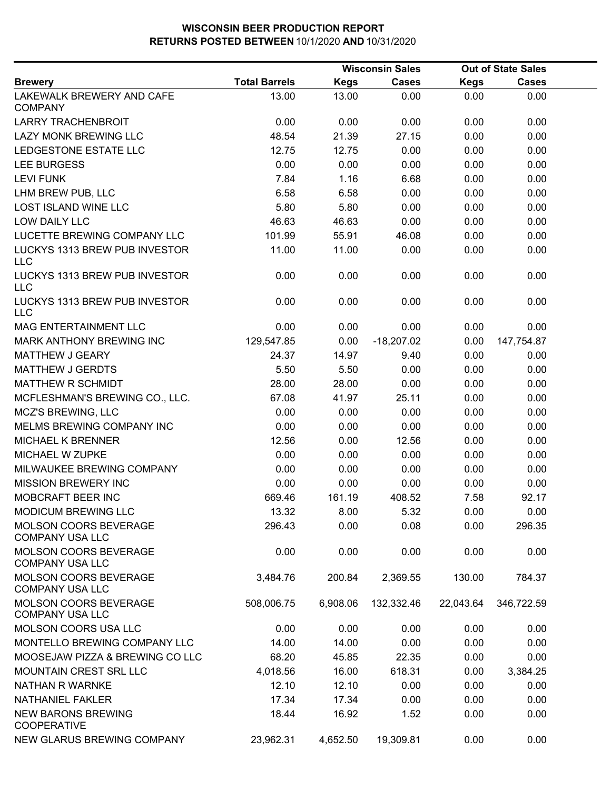|                                                        |                      |             | <b>Wisconsin Sales</b> |             | <b>Out of State Sales</b> |  |
|--------------------------------------------------------|----------------------|-------------|------------------------|-------------|---------------------------|--|
| <b>Brewery</b>                                         | <b>Total Barrels</b> | <b>Kegs</b> | <b>Cases</b>           | <b>Kegs</b> | <b>Cases</b>              |  |
| LAKEWALK BREWERY AND CAFE<br><b>COMPANY</b>            | 13.00                | 13.00       | 0.00                   | 0.00        | 0.00                      |  |
| <b>LARRY TRACHENBROIT</b>                              | 0.00                 | 0.00        | 0.00                   | 0.00        | 0.00                      |  |
| <b>LAZY MONK BREWING LLC</b>                           | 48.54                | 21.39       | 27.15                  | 0.00        | 0.00                      |  |
| LEDGESTONE ESTATE LLC                                  | 12.75                | 12.75       | 0.00                   | 0.00        | 0.00                      |  |
| <b>LEE BURGESS</b>                                     | 0.00                 | 0.00        | 0.00                   | 0.00        | 0.00                      |  |
| <b>LEVI FUNK</b>                                       | 7.84                 | 1.16        | 6.68                   | 0.00        | 0.00                      |  |
| LHM BREW PUB, LLC                                      | 6.58                 | 6.58        | 0.00                   | 0.00        | 0.00                      |  |
| <b>LOST ISLAND WINE LLC</b>                            | 5.80                 | 5.80        | 0.00                   | 0.00        | 0.00                      |  |
| LOW DAILY LLC                                          | 46.63                | 46.63       | 0.00                   | 0.00        | 0.00                      |  |
| LUCETTE BREWING COMPANY LLC                            | 101.99               | 55.91       | 46.08                  | 0.00        | 0.00                      |  |
| LUCKYS 1313 BREW PUB INVESTOR<br><b>LLC</b>            | 11.00                | 11.00       | 0.00                   | 0.00        | 0.00                      |  |
| LUCKYS 1313 BREW PUB INVESTOR<br><b>LLC</b>            | 0.00                 | 0.00        | 0.00                   | 0.00        | 0.00                      |  |
| LUCKYS 1313 BREW PUB INVESTOR<br><b>LLC</b>            | 0.00                 | 0.00        | 0.00                   | 0.00        | 0.00                      |  |
| <b>MAG ENTERTAINMENT LLC</b>                           | 0.00                 | 0.00        | 0.00                   | 0.00        | 0.00                      |  |
| MARK ANTHONY BREWING INC                               | 129,547.85           | 0.00        | $-18,207.02$           | 0.00        | 147,754.87                |  |
| <b>MATTHEW J GEARY</b>                                 | 24.37                | 14.97       | 9.40                   | 0.00        | 0.00                      |  |
| <b>MATTHEW J GERDTS</b>                                | 5.50                 | 5.50        | 0.00                   | 0.00        | 0.00                      |  |
| MATTHEW R SCHMIDT                                      | 28.00                | 28.00       | 0.00                   | 0.00        | 0.00                      |  |
| MCFLESHMAN'S BREWING CO., LLC.                         | 67.08                | 41.97       | 25.11                  | 0.00        | 0.00                      |  |
| <b>MCZ'S BREWING, LLC</b>                              | 0.00                 | 0.00        | 0.00                   | 0.00        | 0.00                      |  |
| MELMS BREWING COMPANY INC                              | 0.00                 | 0.00        | 0.00                   | 0.00        | 0.00                      |  |
| <b>MICHAEL K BRENNER</b>                               | 12.56                | 0.00        | 12.56                  | 0.00        | 0.00                      |  |
| MICHAEL W ZUPKE                                        | 0.00                 | 0.00        | 0.00                   | 0.00        | 0.00                      |  |
| MILWAUKEE BREWING COMPANY                              | 0.00                 | 0.00        | 0.00                   | 0.00        | 0.00                      |  |
| <b>MISSION BREWERY INC</b>                             | 0.00                 | 0.00        | 0.00                   | 0.00        | 0.00                      |  |
| MOBCRAFT BEER INC                                      | 669.46               | 161.19      | 408.52                 | 7.58        | 92.17                     |  |
| <b>MODICUM BREWING LLC</b>                             | 13.32                | 8.00        | 5.32                   | 0.00        | 0.00                      |  |
| MOLSON COORS BEVERAGE<br><b>COMPANY USA LLC</b>        | 296.43               | 0.00        | 0.08                   | 0.00        | 296.35                    |  |
| MOLSON COORS BEVERAGE<br><b>COMPANY USA LLC</b>        | 0.00                 | 0.00        | 0.00                   | 0.00        | 0.00                      |  |
| <b>MOLSON COORS BEVERAGE</b><br><b>COMPANY USA LLC</b> | 3,484.76             | 200.84      | 2,369.55               | 130.00      | 784.37                    |  |
| <b>MOLSON COORS BEVERAGE</b><br><b>COMPANY USA LLC</b> | 508,006.75           | 6,908.06    | 132,332.46             | 22,043.64   | 346,722.59                |  |
| MOLSON COORS USA LLC                                   | 0.00                 | 0.00        | 0.00                   | 0.00        | 0.00                      |  |
| MONTELLO BREWING COMPANY LLC                           | 14.00                | 14.00       | 0.00                   | 0.00        | 0.00                      |  |
| MOOSEJAW PIZZA & BREWING CO LLC                        | 68.20                | 45.85       | 22.35                  | 0.00        | 0.00                      |  |
| <b>MOUNTAIN CREST SRL LLC</b>                          | 4,018.56             | 16.00       | 618.31                 | 0.00        | 3,384.25                  |  |
| <b>NATHAN R WARNKE</b>                                 | 12.10                | 12.10       | 0.00                   | 0.00        | 0.00                      |  |
| <b>NATHANIEL FAKLER</b>                                | 17.34                | 17.34       | 0.00                   | 0.00        | 0.00                      |  |
| <b>NEW BARONS BREWING</b><br><b>COOPERATIVE</b>        | 18.44                | 16.92       | 1.52                   | 0.00        | 0.00                      |  |
| <b>NEW GLARUS BREWING COMPANY</b>                      | 23,962.31            | 4,652.50    | 19,309.81              | 0.00        | 0.00                      |  |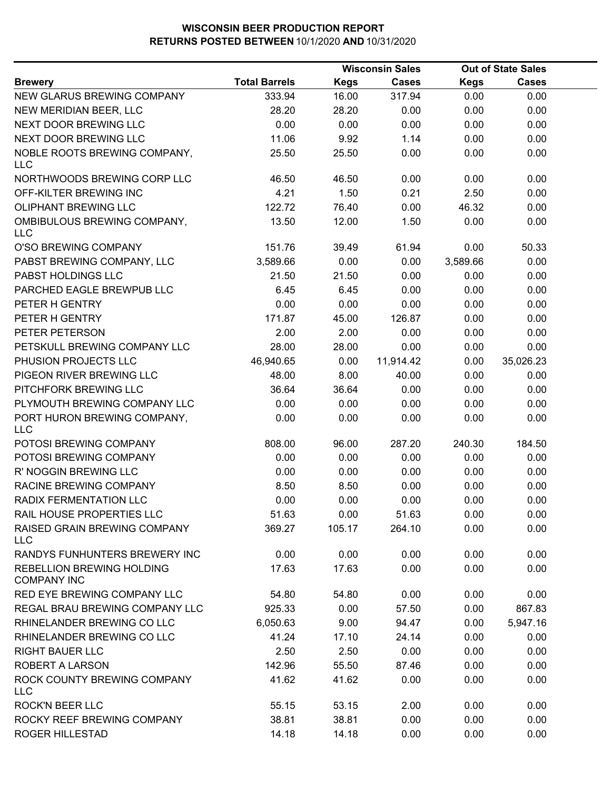|                                                        |                      |             | <b>Wisconsin Sales</b> |             | <b>Out of State Sales</b> |  |
|--------------------------------------------------------|----------------------|-------------|------------------------|-------------|---------------------------|--|
| <b>Brewery</b>                                         | <b>Total Barrels</b> | <b>Kegs</b> | <b>Cases</b>           | <b>Kegs</b> | <b>Cases</b>              |  |
| NEW GLARUS BREWING COMPANY                             | 333.94               | 16.00       | 317.94                 | 0.00        | 0.00                      |  |
| NEW MERIDIAN BEER, LLC                                 | 28.20                | 28.20       | 0.00                   | 0.00        | 0.00                      |  |
| NEXT DOOR BREWING LLC                                  | 0.00                 | 0.00        | 0.00                   | 0.00        | 0.00                      |  |
| NEXT DOOR BREWING LLC                                  | 11.06                | 9.92        | 1.14                   | 0.00        | 0.00                      |  |
| NOBLE ROOTS BREWING COMPANY,<br><b>LLC</b>             | 25.50                | 25.50       | 0.00                   | 0.00        | 0.00                      |  |
| NORTHWOODS BREWING CORP LLC                            | 46.50                | 46.50       | 0.00                   | 0.00        | 0.00                      |  |
| OFF-KILTER BREWING INC                                 | 4.21                 | 1.50        | 0.21                   | 2.50        | 0.00                      |  |
| <b>OLIPHANT BREWING LLC</b>                            | 122.72               | 76.40       | 0.00                   | 46.32       | 0.00                      |  |
| OMBIBULOUS BREWING COMPANY,<br><b>LLC</b>              | 13.50                | 12.00       | 1.50                   | 0.00        | 0.00                      |  |
| O'SO BREWING COMPANY                                   | 151.76               | 39.49       | 61.94                  | 0.00        | 50.33                     |  |
| PABST BREWING COMPANY, LLC                             | 3,589.66             | 0.00        | 0.00                   | 3,589.66    | 0.00                      |  |
| PABST HOLDINGS LLC                                     | 21.50                | 21.50       | 0.00                   | 0.00        | 0.00                      |  |
| PARCHED EAGLE BREWPUB LLC                              | 6.45                 | 6.45        | 0.00                   | 0.00        | 0.00                      |  |
| PETER H GENTRY                                         | 0.00                 | 0.00        | 0.00                   | 0.00        | 0.00                      |  |
| PETER H GENTRY                                         | 171.87               | 45.00       | 126.87                 | 0.00        | 0.00                      |  |
| PETER PETERSON                                         | 2.00                 | 2.00        | 0.00                   | 0.00        | 0.00                      |  |
| PETSKULL BREWING COMPANY LLC                           | 28.00                | 28.00       | 0.00                   | 0.00        | 0.00                      |  |
| PHUSION PROJECTS LLC                                   | 46,940.65            | 0.00        | 11,914.42              | 0.00        | 35,026.23                 |  |
| PIGEON RIVER BREWING LLC                               | 48.00                | 8.00        | 40.00                  | 0.00        | 0.00                      |  |
| PITCHFORK BREWING LLC                                  | 36.64                | 36.64       | 0.00                   | 0.00        | 0.00                      |  |
| PLYMOUTH BREWING COMPANY LLC                           | 0.00                 | 0.00        | 0.00                   | 0.00        | 0.00                      |  |
| PORT HURON BREWING COMPANY,<br><b>LLC</b>              | 0.00                 | 0.00        | 0.00                   | 0.00        | 0.00                      |  |
| POTOSI BREWING COMPANY                                 | 808.00               | 96.00       | 287.20                 | 240.30      | 184.50                    |  |
| POTOSI BREWING COMPANY                                 | 0.00                 | 0.00        | 0.00                   | 0.00        | 0.00                      |  |
| R' NOGGIN BREWING LLC                                  | 0.00                 | 0.00        | 0.00                   | 0.00        | 0.00                      |  |
| RACINE BREWING COMPANY                                 | 8.50                 | 8.50        | 0.00                   | 0.00        | 0.00                      |  |
| RADIX FERMENTATION LLC                                 | 0.00                 | 0.00        | 0.00                   | 0.00        | 0.00                      |  |
| RAIL HOUSE PROPERTIES LLC                              | 51.63                | 0.00        | 51.63                  | 0.00        | 0.00                      |  |
| RAISED GRAIN BREWING COMPANY<br><b>LLC</b>             | 369.27               | 105.17      | 264.10                 | 0.00        | 0.00                      |  |
| RANDYS FUNHUNTERS BREWERY INC                          | 0.00                 | 0.00        | 0.00                   | 0.00        | 0.00                      |  |
| <b>REBELLION BREWING HOLDING</b><br><b>COMPANY INC</b> | 17.63                | 17.63       | 0.00                   | 0.00        | 0.00                      |  |
| RED EYE BREWING COMPANY LLC                            | 54.80                | 54.80       | 0.00                   | 0.00        | 0.00                      |  |
| REGAL BRAU BREWING COMPANY LLC                         | 925.33               | 0.00        | 57.50                  | 0.00        | 867.83                    |  |
| RHINELANDER BREWING CO LLC                             | 6,050.63             | 9.00        | 94.47                  | 0.00        | 5,947.16                  |  |
| RHINELANDER BREWING CO LLC                             | 41.24                | 17.10       | 24.14                  | 0.00        | 0.00                      |  |
| <b>RIGHT BAUER LLC</b>                                 | 2.50                 | 2.50        | 0.00                   | 0.00        | 0.00                      |  |
| <b>ROBERT A LARSON</b>                                 | 142.96               | 55.50       | 87.46                  | 0.00        | 0.00                      |  |
| ROCK COUNTY BREWING COMPANY<br><b>LLC</b>              | 41.62                | 41.62       | 0.00                   | 0.00        | 0.00                      |  |
| <b>ROCK'N BEER LLC</b>                                 | 55.15                | 53.15       | 2.00                   | 0.00        | 0.00                      |  |
| ROCKY REEF BREWING COMPANY                             | 38.81                | 38.81       | 0.00                   | 0.00        | 0.00                      |  |
| <b>ROGER HILLESTAD</b>                                 | 14.18                | 14.18       | 0.00                   | 0.00        | 0.00                      |  |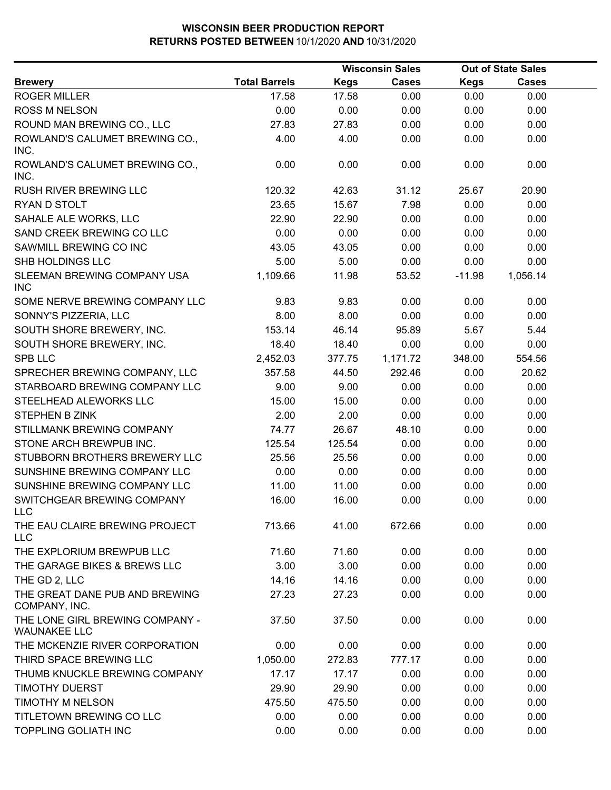|                                                        |                      | <b>Wisconsin Sales</b> |              |             | <b>Out of State Sales</b> |
|--------------------------------------------------------|----------------------|------------------------|--------------|-------------|---------------------------|
| <b>Brewery</b>                                         | <b>Total Barrels</b> | <b>Kegs</b>            | <b>Cases</b> | <b>Kegs</b> | <b>Cases</b>              |
| <b>ROGER MILLER</b>                                    | 17.58                | 17.58                  | 0.00         | 0.00        | 0.00                      |
| <b>ROSS M NELSON</b>                                   | 0.00                 | 0.00                   | 0.00         | 0.00        | 0.00                      |
| ROUND MAN BREWING CO., LLC                             | 27.83                | 27.83                  | 0.00         | 0.00        | 0.00                      |
| ROWLAND'S CALUMET BREWING CO.,<br>INC.                 | 4.00                 | 4.00                   | 0.00         | 0.00        | 0.00                      |
| ROWLAND'S CALUMET BREWING CO.,<br>INC.                 | 0.00                 | 0.00                   | 0.00         | 0.00        | 0.00                      |
| <b>RUSH RIVER BREWING LLC</b>                          | 120.32               | 42.63                  | 31.12        | 25.67       | 20.90                     |
| RYAN D STOLT                                           | 23.65                | 15.67                  | 7.98         | 0.00        | 0.00                      |
| SAHALE ALE WORKS, LLC                                  | 22.90                | 22.90                  | 0.00         | 0.00        | 0.00                      |
| SAND CREEK BREWING CO LLC                              | 0.00                 | 0.00                   | 0.00         | 0.00        | 0.00                      |
| SAWMILL BREWING CO INC                                 | 43.05                | 43.05                  | 0.00         | 0.00        | 0.00                      |
| SHB HOLDINGS LLC                                       | 5.00                 | 5.00                   | 0.00         | 0.00        | 0.00                      |
| SLEEMAN BREWING COMPANY USA<br><b>INC</b>              | 1,109.66             | 11.98                  | 53.52        | $-11.98$    | 1,056.14                  |
| SOME NERVE BREWING COMPANY LLC                         | 9.83                 | 9.83                   | 0.00         | 0.00        | 0.00                      |
| SONNY'S PIZZERIA, LLC                                  | 8.00                 | 8.00                   | 0.00         | 0.00        | 0.00                      |
| SOUTH SHORE BREWERY, INC.                              | 153.14               | 46.14                  | 95.89        | 5.67        | 5.44                      |
| SOUTH SHORE BREWERY, INC.                              | 18.40                | 18.40                  | 0.00         | 0.00        | 0.00                      |
| <b>SPB LLC</b>                                         | 2,452.03             | 377.75                 | 1,171.72     | 348.00      | 554.56                    |
| SPRECHER BREWING COMPANY, LLC                          | 357.58               | 44.50                  | 292.46       | 0.00        | 20.62                     |
| STARBOARD BREWING COMPANY LLC                          | 9.00                 | 9.00                   | 0.00         | 0.00        | 0.00                      |
| STEELHEAD ALEWORKS LLC                                 | 15.00                | 15.00                  | 0.00         | 0.00        | 0.00                      |
| <b>STEPHEN B ZINK</b>                                  | 2.00                 | 2.00                   | 0.00         | 0.00        | 0.00                      |
| STILLMANK BREWING COMPANY                              | 74.77                | 26.67                  | 48.10        | 0.00        | 0.00                      |
| STONE ARCH BREWPUB INC.                                | 125.54               | 125.54                 | 0.00         | 0.00        | 0.00                      |
| STUBBORN BROTHERS BREWERY LLC                          | 25.56                | 25.56                  | 0.00         | 0.00        | 0.00                      |
| SUNSHINE BREWING COMPANY LLC                           | 0.00                 | 0.00                   | 0.00         | 0.00        | 0.00                      |
| SUNSHINE BREWING COMPANY LLC                           | 11.00                | 11.00                  | 0.00         | 0.00        | 0.00                      |
| SWITCHGEAR BREWING COMPANY<br><b>LLC</b>               | 16.00                | 16.00                  | 0.00         | 0.00        | 0.00                      |
| THE EAU CLAIRE BREWING PROJECT<br><b>LLC</b>           | 713.66               | 41.00                  | 672.66       | 0.00        | 0.00                      |
| THE EXPLORIUM BREWPUB LLC                              | 71.60                | 71.60                  | 0.00         | 0.00        | 0.00                      |
| THE GARAGE BIKES & BREWS LLC                           | 3.00                 | 3.00                   | 0.00         | 0.00        | 0.00                      |
| THE GD 2, LLC                                          | 14.16                | 14.16                  | 0.00         | 0.00        | 0.00                      |
| THE GREAT DANE PUB AND BREWING<br>COMPANY, INC.        | 27.23                | 27.23                  | 0.00         | 0.00        | 0.00                      |
| THE LONE GIRL BREWING COMPANY -<br><b>WAUNAKEE LLC</b> | 37.50                | 37.50                  | 0.00         | 0.00        | 0.00                      |
| THE MCKENZIE RIVER CORPORATION                         | 0.00                 | 0.00                   | 0.00         | 0.00        | 0.00                      |
| THIRD SPACE BREWING LLC                                | 1,050.00             | 272.83                 | 777.17       | 0.00        | 0.00                      |
| THUMB KNUCKLE BREWING COMPANY                          | 17.17                | 17.17                  | 0.00         | 0.00        | 0.00                      |
| <b>TIMOTHY DUERST</b>                                  | 29.90                | 29.90                  | 0.00         | 0.00        | 0.00                      |
| TIMOTHY M NELSON                                       | 475.50               | 475.50                 | 0.00         | 0.00        | 0.00                      |
| TITLETOWN BREWING CO LLC                               | 0.00                 | 0.00                   | 0.00         | 0.00        | 0.00                      |
| <b>TOPPLING GOLIATH INC</b>                            | 0.00                 | 0.00                   | 0.00         | 0.00        | 0.00                      |
|                                                        |                      |                        |              |             |                           |